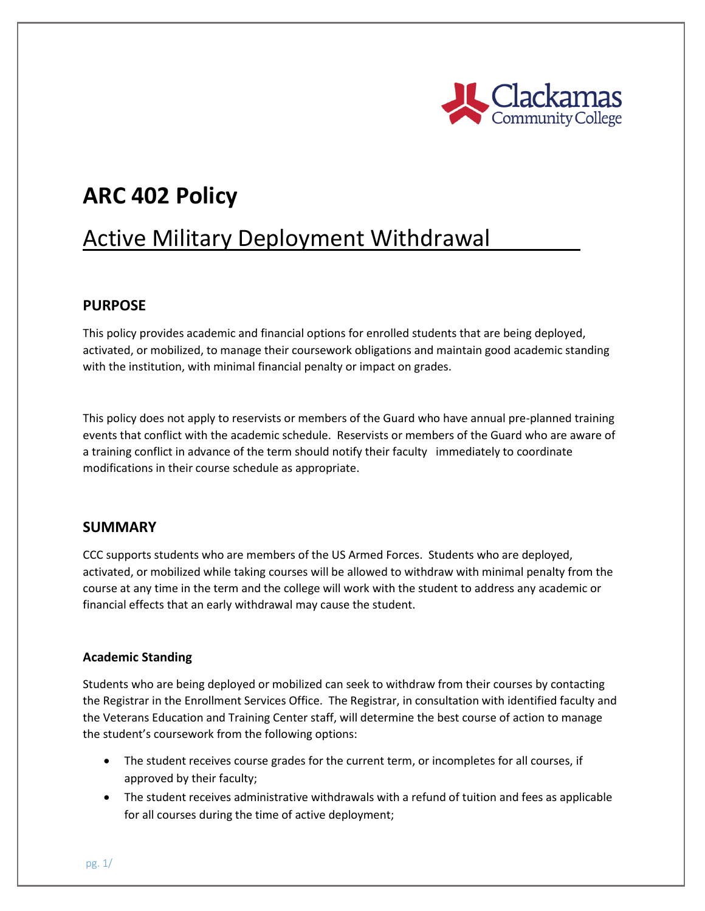

# **ARC 402 Policy**

# Active Military Deployment Withdrawal

#### **PURPOSE**

This policy provides academic and financial options for enrolled students that are being deployed, activated, or mobilized, to manage their coursework obligations and maintain good academic standing with the institution, with minimal financial penalty or impact on grades.

This policy does not apply to reservists or members of the Guard who have annual pre-planned training events that conflict with the academic schedule. Reservists or members of the Guard who are aware of a training conflict in advance of the term should notify their faculty immediately to coordinate modifications in their course schedule as appropriate.

#### **SUMMARY**

CCC supports students who are members of the US Armed Forces. Students who are deployed, activated, or mobilized while taking courses will be allowed to withdraw with minimal penalty from the course at any time in the term and the college will work with the student to address any academic or financial effects that an early withdrawal may cause the student.

#### **Academic Standing**

Students who are being deployed or mobilized can seek to withdraw from their courses by contacting the Registrar in the Enrollment Services Office. The Registrar, in consultation with identified faculty and the Veterans Education and Training Center staff, will determine the best course of action to manage the student's coursework from the following options:

- The student receives course grades for the current term, or incompletes for all courses, if approved by their faculty;
- The student receives administrative withdrawals with a refund of tuition and fees as applicable for all courses during the time of active deployment;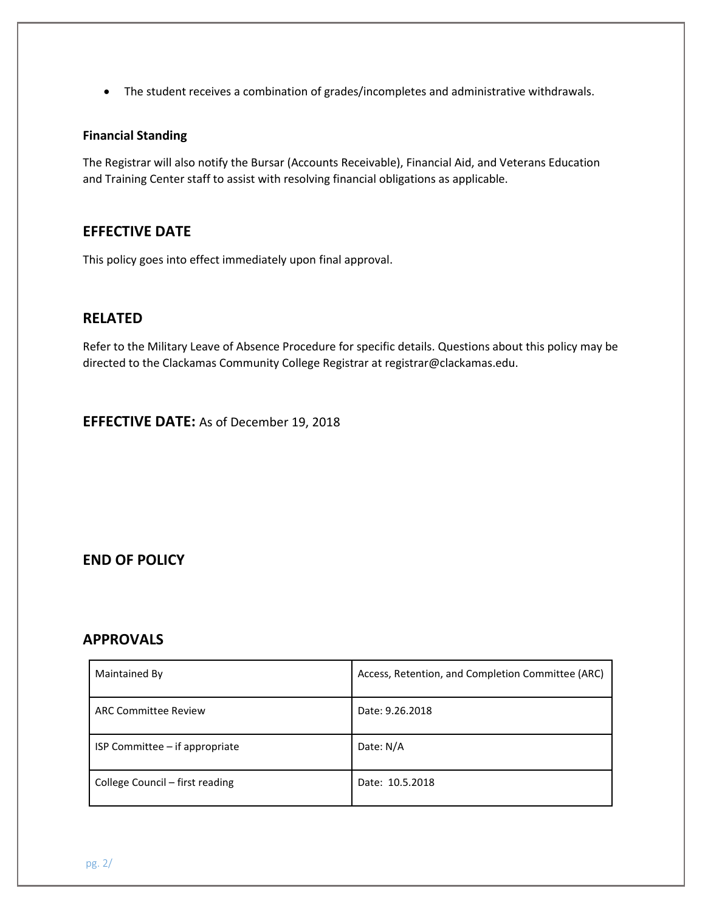The student receives a combination of grades/incompletes and administrative withdrawals.

#### **Financial Standing**

The Registrar will also notify the Bursar (Accounts Receivable), Financial Aid, and Veterans Education and Training Center staff to assist with resolving financial obligations as applicable.

#### **EFFECTIVE DATE**

This policy goes into effect immediately upon final approval.

### **RELATED**

Refer to the Military Leave of Absence Procedure for specific details. Questions about this policy may be directed to the Clackamas Community College Registrar at registrar@clackamas.edu.

**EFFECTIVE DATE:** As of December 19, 2018

### **END OF POLICY**

#### **APPROVALS**

| Maintained By                   | Access, Retention, and Completion Committee (ARC) |
|---------------------------------|---------------------------------------------------|
| <b>ARC Committee Review</b>     | Date: 9.26.2018                                   |
| ISP Committee – if appropriate  | Date: N/A                                         |
| College Council – first reading | Date: 10.5.2018                                   |